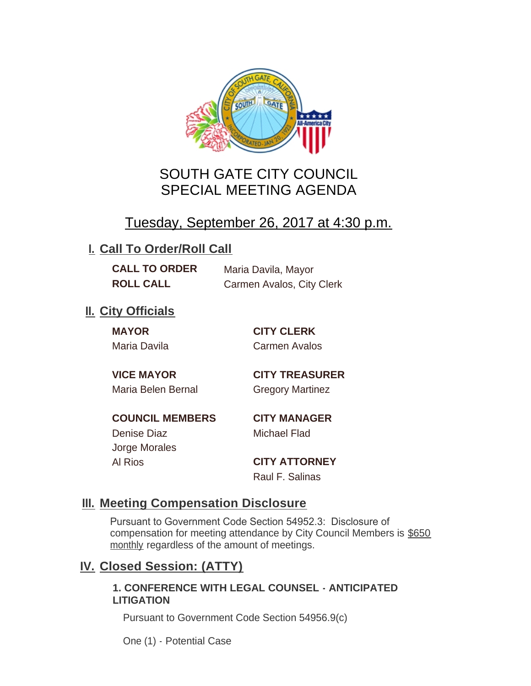

# SOUTH GATE CITY COUNCIL SPECIAL MEETING AGENDA

# Tuesday, September 26, 2017 at 4:30 p.m.

## **I. Call To Order/Roll Call**

**CALL TO ORDER** Maria Davila, Mayor

**ROLL CALL** Carmen Avalos, City Clerk

## **II.** City Officials

**MAYOR CITY CLERK**

Maria Davila Carmen Avalos

Maria Belen Bernal **Gregory Martinez** 

**VICE MAYOR CITY TREASURER**

**COUNCIL MEMBERS CITY MANAGER** Denise Diaz Michael Flad

Jorge Morales

Al Rios **CITY ATTORNEY** Raul F. Salinas

### **Meeting Compensation Disclosure III.**

Pursuant to Government Code Section 54952.3: Disclosure of compensation for meeting attendance by City Council Members is \$650 monthly regardless of the amount of meetings.

### **Closed Session: (ATTY) IV.**

#### **1. CONFERENCE WITH LEGAL COUNSEL - ANTICIPATED LITIGATION**

Pursuant to Government Code Section 54956.9(c)

One (1) - Potential Case